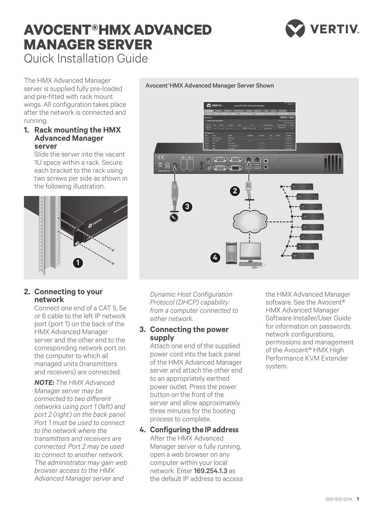# **AVOCENT®HMX ADVANCED MANAGER SERVER** Quick Installation Guide



The HMX Advanced Manager server is supplied fully pre-loaded and pre-fitted with rack mount wings. All configuration takes place after the network is connected and running.

### **1. Rack mounting the HMX Advanced Manager server**

Slide the server into the vacant 1U space within a rack. Secure each bracket to the rack using two screws per side as shown in the following illustration.



# **2. Connecting to your network**

Connect one end of a CAT 5, 5e or 6 cable to the left IP network port (port 1) on the back of the HMX Advanced Manager server and the other end to the corresponding network port on the computer to which all managed units (transmitters and receivers) are connected.

*NOTE: The HMX Advanced Manager server may be connected to two different networks using port 1 (left) and port 2 (right) on the back panel. Port 1 must be used to connect to the network where the transmitters and receivers are connected. Port 2 may be used to connect to another network. The administrator may gain web browser access to the HMX Advanced Manager server and* 

*Dynamic Host Configuration Protocol (DHCP) capability from a computer connected to either network.* 

**4**

**3**

An Ar

 $\mathbb{R} \otimes \mathbb{Q}$ 

## **3. Connecting the power supply**

Attach one end of the supplied power cord into the back panel of the HMX Advanced Manager server and attach the other end to an appropriately earthed power outlet. Press the power button on the front of the server and allow approximately three minutes for the booting process to complete.

**4. Configuring the IP address** After the HMX Advanced Manager server is fully running, open a web browser on any computer within your local network. Enter 169.254.1.3 as the default IP address to access the HMX Advanced Manager software. See the Avocent® HMX Advanced Manager Software Installer/User Guide for information on passwords, network configurations, permissions and management of the Avocent® HMX High Performance KVM Extender system.

### Avocent® HMX Advanced Manager Server Shown

**2**

 $\circ$   $\circ$   $\circ$ 

 $\bullet$  of  $\bullet$  of  $\bullet$